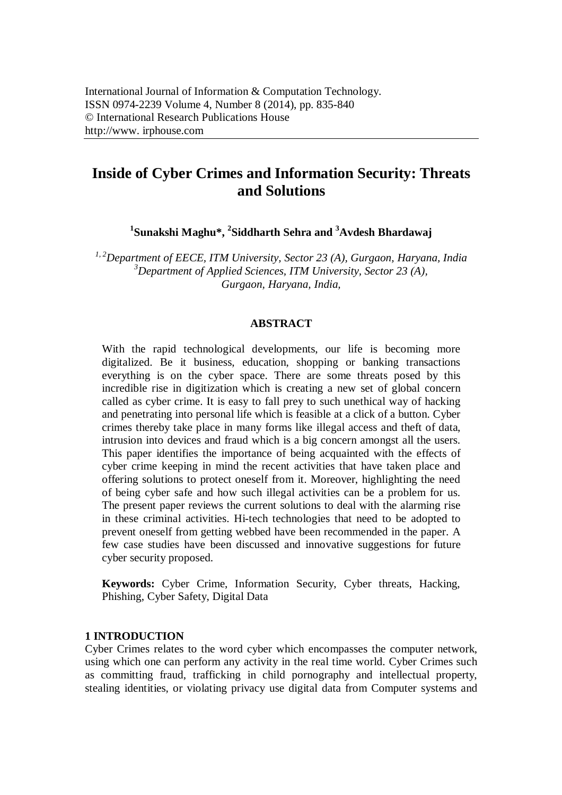# **Inside of Cyber Crimes and Information Security: Threats and Solutions**

**1 Sunakshi Maghu\*, 2 Siddharth Sehra and <sup>3</sup>Avdesh Bhardawaj**

*1, 2Department of EECE, ITM University, Sector 23 (A), Gurgaon, Haryana, India <sup>3</sup>Department of Applied Sciences, ITM University, Sector 23 (A), Gurgaon, Haryana, India,* 

#### **ABSTRACT**

With the rapid technological developments, our life is becoming more digitalized. Be it business, education, shopping or banking transactions everything is on the cyber space. There are some threats posed by this incredible rise in digitization which is creating a new set of global concern called as cyber crime. It is easy to fall prey to such unethical way of hacking and penetrating into personal life which is feasible at a click of a button. Cyber crimes thereby take place in many forms like illegal access and theft of data, intrusion into devices and fraud which is a big concern amongst all the users. This paper identifies the importance of being acquainted with the effects of cyber crime keeping in mind the recent activities that have taken place and offering solutions to protect oneself from it. Moreover, highlighting the need of being cyber safe and how such illegal activities can be a problem for us. The present paper reviews the current solutions to deal with the alarming rise in these criminal activities. Hi-tech technologies that need to be adopted to prevent oneself from getting webbed have been recommended in the paper. A few case studies have been discussed and innovative suggestions for future cyber security proposed.

**Keywords:** Cyber Crime, Information Security, Cyber threats, Hacking, Phishing, Cyber Safety, Digital Data

#### **1 INTRODUCTION**

Cyber Crimes relates to the word cyber which encompasses the computer network, using which one can perform any activity in the real time world. Cyber Crimes such as committing fraud, trafficking in child pornography and intellectual property, stealing identities, or violating privacy use digital data from Computer systems and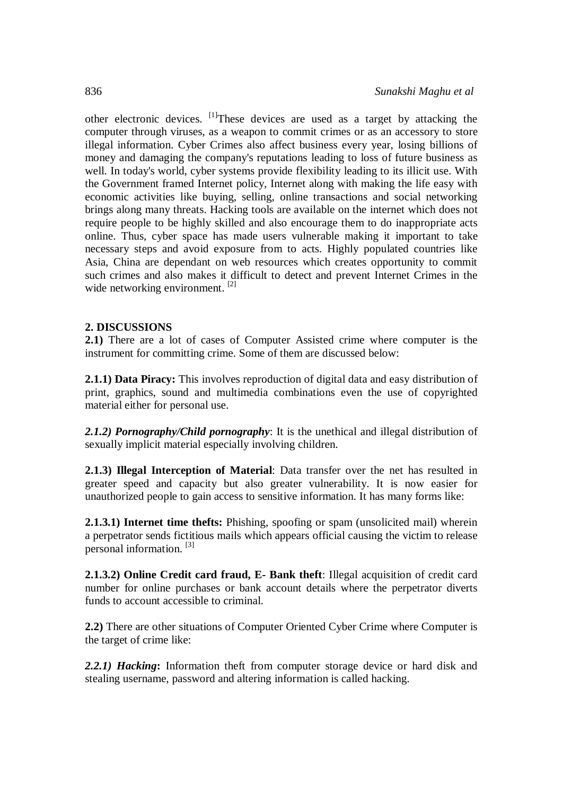other electronic devices.  $\left[1\right]$ These devices are used as a target by attacking the computer through viruses, as a weapon to commit crimes or as an accessory to store illegal information. Cyber Crimes also affect business every year, losing billions of money and damaging the company's reputations leading to loss of future business as well. In today's world, cyber systems provide flexibility leading to its illicit use. With the Government framed Internet policy, Internet along with making the life easy with economic activities like buying, selling, online transactions and social networking brings along many threats. Hacking tools are available on the internet which does not require people to be highly skilled and also encourage them to do inappropriate acts online. Thus, cyber space has made users vulnerable making it important to take necessary steps and avoid exposure from to acts. Highly populated countries like Asia, China are dependant on web resources which creates opportunity to commit such crimes and also makes it difficult to detect and prevent Internet Crimes in the wide networking environment. <sup>[2]</sup>

#### **2. DISCUSSIONS**

**2.1)** There are a lot of cases of Computer Assisted crime where computer is the instrument for committing crime. Some of them are discussed below:

**2.1.1) Data Piracy:** This involves reproduction of digital data and easy distribution of print, graphics, sound and multimedia combinations even the use of copyrighted material either for personal use.

*2.1.2) Pornography/Child pornography*: It is the unethical and illegal distribution of sexually implicit material especially involving children.

**2.1.3) Illegal Interception of Material**: Data transfer over the net has resulted in greater speed and capacity but also greater vulnerability. It is now easier for unauthorized people to gain access to sensitive information. It has many forms like:

**2.1.3.1) Internet time thefts:** Phishing, spoofing or spam (unsolicited mail) wherein a perpetrator sends fictitious mails which appears official causing the victim to release personal information. [3]

**2.1.3.2) Online Credit card fraud, E- Bank theft**: Illegal acquisition of credit card number for online purchases or bank account details where the perpetrator diverts funds to account accessible to criminal.

**2.2)** There are other situations of Computer Oriented Cyber Crime where Computer is the target of crime like:

*2.2.1) Hacking***:** Information theft from computer storage device or hard disk and stealing username, password and altering information is called hacking.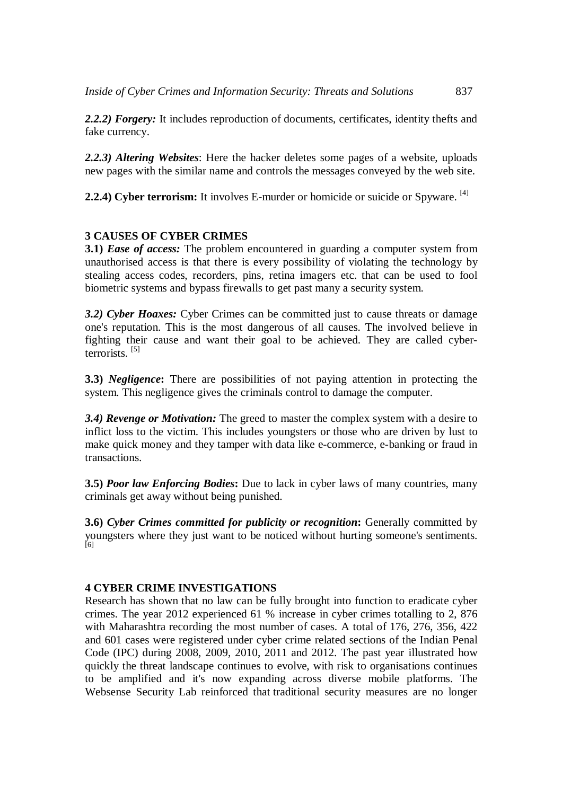*2.2.2) Forgery:* It includes reproduction of documents, certificates, identity thefts and fake currency.

*2.2.3) Altering Websites*: Here the hacker deletes some pages of a website, uploads new pages with the similar name and controls the messages conveyed by the web site.

2.2.4) Cyber terrorism: It involves E-murder or homicide or suicide or Spyware. <sup>[4]</sup>

# **3 CAUSES OF CYBER CRIMES**

**3.1)** *Ease of access:* The problem encountered in guarding a computer system from unauthorised access is that there is every possibility of violating the technology by stealing access codes, recorders, pins, retina imagers etc. that can be used to fool biometric systems and bypass firewalls to get past many a security system.

*3.2) Cyber Hoaxes:* Cyber Crimes can be committed just to cause threats or damage one's reputation. This is the most dangerous of all causes. The involved believe in fighting their cause and want their goal to be achieved. They are called cyberterrorists. [5]

**3.3)** *Negligence***:** There are possibilities of not paying attention in protecting the system. This negligence gives the criminals control to damage the computer.

*3.4) Revenge or Motivation:* The greed to master the complex system with a desire to inflict loss to the victim. This includes youngsters or those who are driven by lust to make quick money and they tamper with data like e-commerce, e-banking or fraud in transactions.

**3.5)** *Poor law Enforcing Bodies***:** Due to lack in cyber laws of many countries, many criminals get away without being punished.

**3.6)** *Cyber Crimes committed for publicity or recognition***:** Generally committed by youngsters where they just want to be noticed without hurting someone's sentiments. [6]

### **4 CYBER CRIME INVESTIGATIONS**

Research has shown that no law can be fully brought into function to eradicate cyber crimes. The year 2012 experienced 61 % increase in cyber crimes totalling to 2, 876 with Maharashtra recording the most number of cases. A total of 176, 276, 356, 422 and 601 cases were registered under cyber crime related sections of the Indian Penal Code (IPC) during 2008, 2009, 2010, 2011 and 2012. The past year illustrated how quickly the threat landscape continues to evolve, with risk to organisations continues to be amplified and it's now expanding across diverse mobile platforms. The Websense Security Lab reinforced that traditional security measures are no longer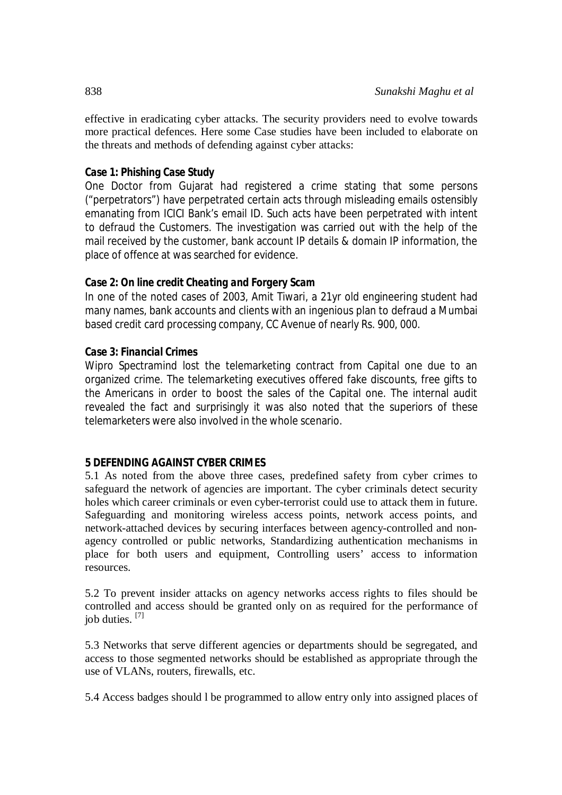effective in eradicating cyber attacks. The security providers need to evolve towards more practical defences. Here some Case studies have been included to elaborate on the threats and methods of defending against cyber attacks:

### *Case 1: Phishing Case Study*

One Doctor from Gujarat had registered a crime stating that some persons ("perpetrators") have perpetrated certain acts through misleading emails ostensibly emanating from ICICI Bank's email ID. Such acts have been perpetrated with intent to defraud the Customers. The investigation was carried out with the help of the mail received by the customer, bank account IP details & domain IP information, the place of offence at was searched for evidence.

# *Case 2: On line credit Cheating and Forgery Scam*

In one of the noted cases of 2003, Amit Tiwari, a 21yr old engineering student had many names, bank accounts and clients with an ingenious plan to defraud a Mumbai based credit card processing company, CC Avenue of nearly Rs. 900, 000.

# *Case 3: Financial Crimes*

Wipro Spectramind lost the telemarketing contract from Capital one due to an organized crime. The telemarketing executives offered fake discounts, free gifts to the Americans in order to boost the sales of the Capital one. The internal audit revealed the fact and surprisingly it was also noted that the superiors of these telemarketers were also involved in the whole scenario.

### **5 DEFENDING AGAINST CYBER CRIMES**

5.1 As noted from the above three cases, predefined safety from cyber crimes to safeguard the network of agencies are important. The cyber criminals detect security holes which career criminals or even cyber-terrorist could use to attack them in future. Safeguarding and monitoring wireless access points, network access points, and network-attached devices by securing interfaces between agency-controlled and nonagency controlled or public networks, Standardizing authentication mechanisms in place for both users and equipment, Controlling users' access to information resources.

5.2 To prevent insider attacks on agency networks access rights to files should be controlled and access should be granted only on as required for the performance of iob duties.  $[7]$ 

5.3 Networks that serve different agencies or departments should be segregated, and access to those segmented networks should be established as appropriate through the use of VLANs, routers, firewalls, etc.

5.4 Access badges should l be programmed to allow entry only into assigned places of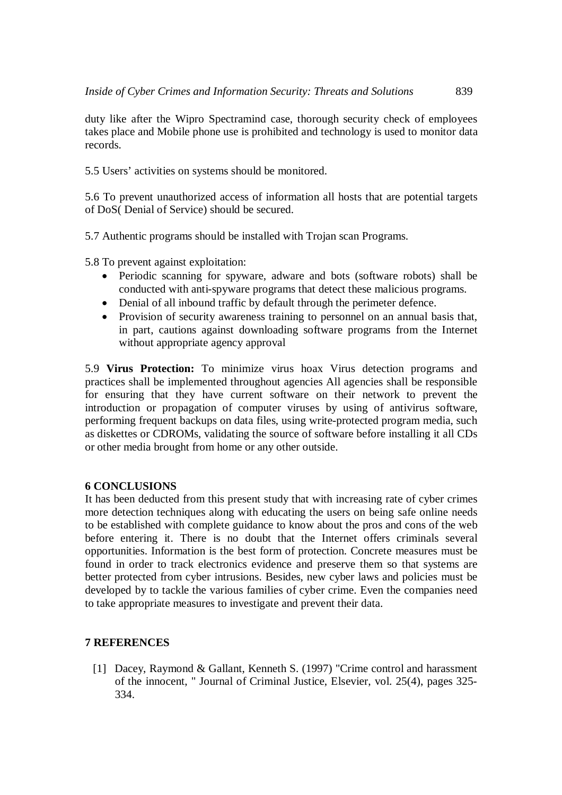duty like after the Wipro Spectramind case, thorough security check of employees takes place and Mobile phone use is prohibited and technology is used to monitor data records.

5.5 Users' activities on systems should be monitored.

5.6 To prevent unauthorized access of information all hosts that are potential targets of DoS( Denial of Service) should be secured.

5.7 Authentic programs should be installed with Trojan scan Programs.

5.8 To prevent against exploitation:

- Periodic scanning for spyware, adware and bots (software robots) shall be conducted with anti-spyware programs that detect these malicious programs.
- Denial of all inbound traffic by default through the perimeter defence.
- Provision of security awareness training to personnel on an annual basis that, in part, cautions against downloading software programs from the Internet without appropriate agency approval

5.9 **Virus Protection:** To minimize virus hoax Virus detection programs and practices shall be implemented throughout agencies All agencies shall be responsible for ensuring that they have current software on their network to prevent the introduction or propagation of computer viruses by using of antivirus software, performing frequent backups on data files, using write-protected program media, such as diskettes or CDROMs, validating the source of software before installing it all CDs or other media brought from home or any other outside.

#### **6 CONCLUSIONS**

It has been deducted from this present study that with increasing rate of cyber crimes more detection techniques along with educating the users on being safe online needs to be established with complete guidance to know about the pros and cons of the web before entering it. There is no doubt that the Internet offers criminals several opportunities. Information is the best form of protection. Concrete measures must be found in order to track electronics evidence and preserve them so that systems are better protected from cyber intrusions. Besides, new cyber laws and policies must be developed by to tackle the various families of cyber crime. Even the companies need to take appropriate measures to investigate and prevent their data.

#### **7 REFERENCES**

[1] Dacey, Raymond & Gallant, Kenneth S. (1997) "Crime control and harassment of the innocent, " Journal of Criminal Justice, Elsevier, vol. 25(4), pages 325- 334.